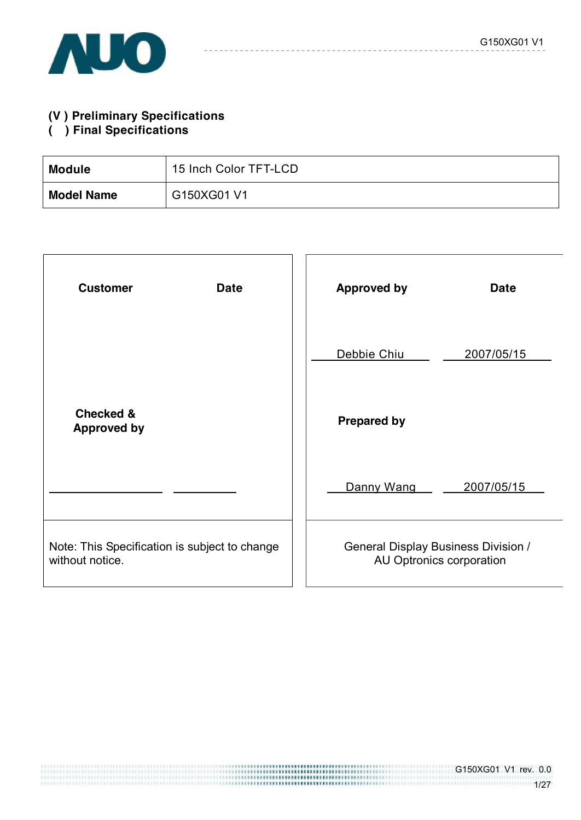# **(V ) Preliminary Specifications**

### **( ) Final Specifications**

| <b>Module</b>     | 15 Inch Color TFT-LCD |
|-------------------|-----------------------|
| <b>Model Name</b> | G150XG01 V1           |

| <b>Customer</b><br><b>Date</b>                                   | <b>Date</b><br><b>Approved by</b>                                      |
|------------------------------------------------------------------|------------------------------------------------------------------------|
|                                                                  | Debbie Chiu<br>2007/05/15                                              |
| <b>Checked &amp;</b><br><b>Approved by</b>                       | <b>Prepared by</b>                                                     |
|                                                                  | Danny Wang<br>2007/05/15                                               |
| Note: This Specification is subject to change<br>without notice. | <b>General Display Business Division /</b><br>AU Optronics corporation |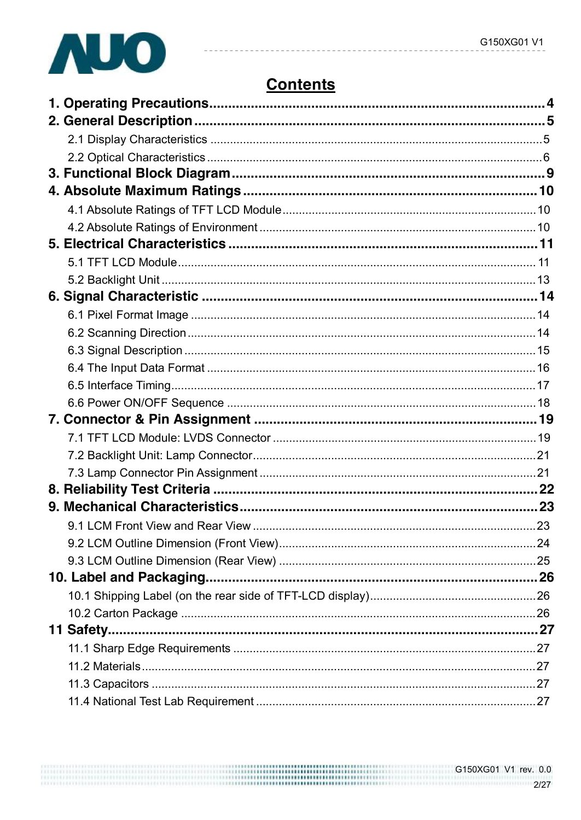

# **Contents**

| 11 Safety |  |
|-----------|--|
|           |  |
|           |  |
|           |  |
|           |  |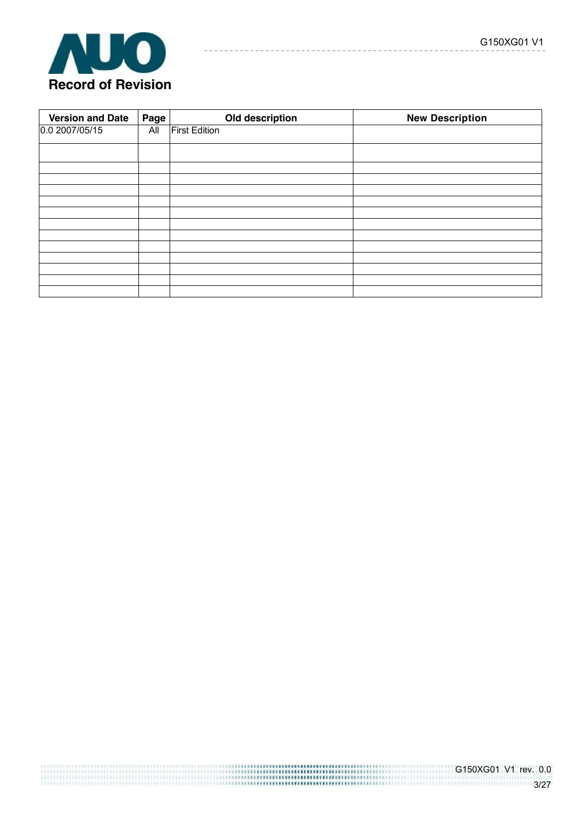| <b>Version and Date</b> | Page | Old description      | <b>New Description</b> |
|-------------------------|------|----------------------|------------------------|
| 0.0 2007/05/15          | All  | <b>First Edition</b> |                        |
|                         |      |                      |                        |
|                         |      |                      |                        |
|                         |      |                      |                        |
|                         |      |                      |                        |
|                         |      |                      |                        |
|                         |      |                      |                        |
|                         |      |                      |                        |
|                         |      |                      |                        |
|                         |      |                      |                        |
|                         |      |                      |                        |
|                         |      |                      |                        |
|                         |      |                      |                        |
|                         |      |                      |                        |

-----------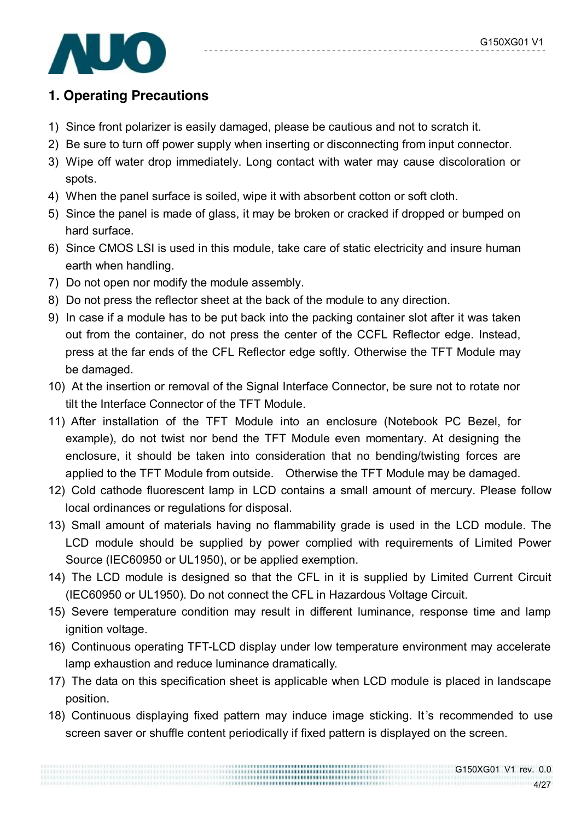

# **1. Operating Precautions**

- 1) Since front polarizer is easily damaged, please be cautious and not to scratch it.
- 2) Be sure to turn off power supply when inserting or disconnecting from input connector.
- 3) Wipe off water drop immediately. Long contact with water may cause discoloration or spots.
- 4) When the panel surface is soiled, wipe it with absorbent cotton or soft cloth.
- 5) Since the panel is made of glass, it may be broken or cracked if dropped or bumped on hard surface.
- 6) Since CMOS LSI is used in this module, take care of static electricity and insure human earth when handling.
- 7) Do not open nor modify the module assembly.
- 8) Do not press the reflector sheet at the back of the module to any direction.
- 9) In case if a module has to be put back into the packing container slot after it was taken out from the container, do not press the center of the CCFL Reflector edge. Instead, press at the far ends of the CFL Reflector edge softly. Otherwise the TFT Module may be damaged.
- 10) At the insertion or removal of the Signal Interface Connector, be sure not to rotate nor tilt the Interface Connector of the TFT Module.
- 11) After installation of the TFT Module into an enclosure (Notebook PC Bezel, for example), do not twist nor bend the TFT Module even momentary. At designing the enclosure, it should be taken into consideration that no bending/twisting forces are applied to the TFT Module from outside. Otherwise the TFT Module may be damaged.
- 12) Cold cathode fluorescent lamp in LCD contains a small amount of mercury. Please follow local ordinances or regulations for disposal.
- 13) Small amount of materials having no flammability grade is used in the LCD module. The LCD module should be supplied by power complied with requirements of Limited Power Source (IEC60950 or UL1950), or be applied exemption.
- 14) The LCD module is designed so that the CFL in it is supplied by Limited Current Circuit (IEC60950 or UL1950). Do not connect the CFL in Hazardous Voltage Circuit.
- 15) Severe temperature condition may result in different luminance, response time and lamp ignition voltage.
- 16) Continuous operating TFT-LCD display under low temperature environment may accelerate lamp exhaustion and reduce luminance dramatically.
- 17) The data on this specification sheet is applicable when LCD module is placed in landscape position.
- 18) Continuous displaying fixed pattern may induce image sticking. It 's recommended to use screen saver or shuffle content periodically if fixed pattern is displayed on the screen.

,,,,,,,,,,,,,,,,,,,,,,,,,,,,,,,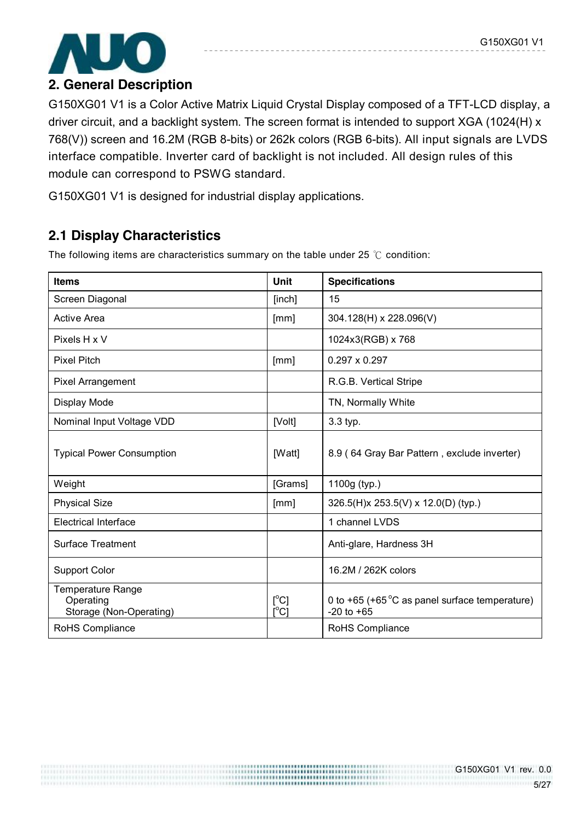

G150XG01 V1 is a Color Active Matrix Liquid Crystal Display composed of a TFT-LCD display, a driver circuit, and a backlight system. The screen format is intended to support XGA (1024(H) x 768(V)) screen and 16.2M (RGB 8-bits) or 262k colors (RGB 6-bits). All input signals are LVDS interface compatible. Inverter card of backlight is not included. All design rules of this module can correspond to PSWG standard.

G150XG01 V1 is designed for industrial display applications.

# **2.1 Display Characteristics**

The following items are characteristics summary on the table under 25 ℃ condition:

| <b>Items</b>                                              | <b>Unit</b>                                              | <b>Specifications</b>                                                     |
|-----------------------------------------------------------|----------------------------------------------------------|---------------------------------------------------------------------------|
| Screen Diagonal                                           | [inch]                                                   | 15                                                                        |
| <b>Active Area</b>                                        | [mm]                                                     | 304.128(H) x 228.096(V)                                                   |
| Pixels H x V                                              |                                                          | 1024x3(RGB) x 768                                                         |
| <b>Pixel Pitch</b>                                        | [mm]                                                     | $0.297 \times 0.297$                                                      |
| <b>Pixel Arrangement</b>                                  |                                                          | R.G.B. Vertical Stripe                                                    |
| Display Mode                                              |                                                          | TN, Normally White                                                        |
| Nominal Input Voltage VDD                                 | [Volt]                                                   | 3.3 typ.                                                                  |
| <b>Typical Power Consumption</b>                          | [Watt]                                                   | 8.9 (64 Gray Bar Pattern, exclude inverter)                               |
| Weight                                                    | [Grams]                                                  | 1100g (typ.)                                                              |
| <b>Physical Size</b>                                      | [mm]                                                     | 326.5(H)x 253.5(V) x 12.0(D) (typ.)                                       |
| <b>Electrical Interface</b>                               |                                                          | 1 channel LVDS                                                            |
| <b>Surface Treatment</b>                                  |                                                          | Anti-glare, Hardness 3H                                                   |
| <b>Support Color</b>                                      |                                                          | 16.2M / 262K colors                                                       |
| Temperature Range<br>Operating<br>Storage (Non-Operating) | $[^{\circ}C]$<br>$\mathsf{I}^\circ\mathsf{C} \mathsf{I}$ | 0 to +65 (+65 $\degree$ C as panel surface temperature)<br>$-20$ to $+65$ |
| RoHS Compliance                                           |                                                          | RoHS Compliance                                                           |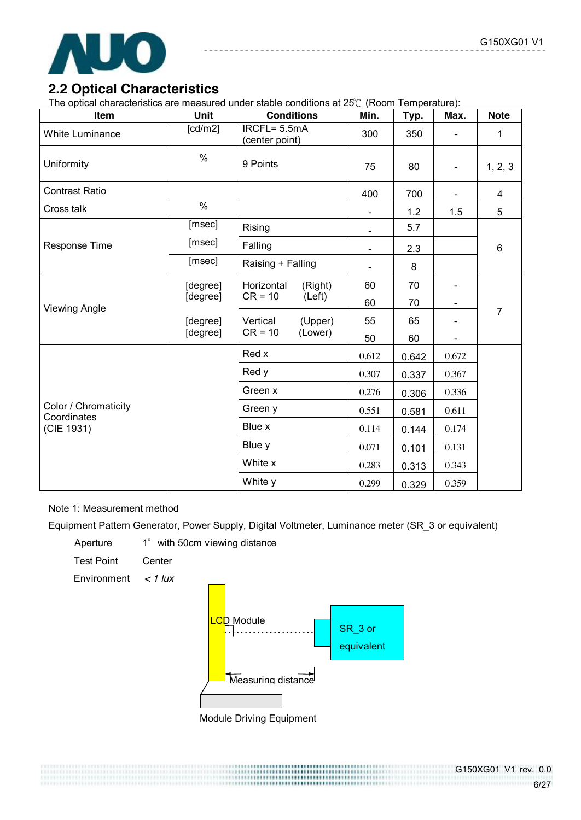

### **2.2 Optical Characteristics**

The optical characteristics are measured under stable conditions at 25℃ (Room Temperature):

| Item                                | <b>Unit</b>          | <b>Conditions</b>              |         | Min.           | Typ.  | Max.           | <b>Note</b>    |
|-------------------------------------|----------------------|--------------------------------|---------|----------------|-------|----------------|----------------|
| <b>White Luminance</b>              | [cd/m2]              | IRCFL= 5.5mA<br>(center point) |         | 300            | 350   |                | 1              |
| Uniformity                          | $\%$                 | 9 Points                       |         | 75             | 80    | $\blacksquare$ | 1, 2, 3        |
| <b>Contrast Ratio</b>               |                      |                                |         | 400            | 700   |                | $\overline{4}$ |
| Cross talk                          | $\frac{1}{2}$        |                                |         | $\blacksquare$ | 1.2   | 1.5            | 5              |
|                                     | [msec]               | Rising                         |         | $\blacksquare$ | 5.7   |                |                |
| <b>Response Time</b>                | [msec]               | Falling                        |         | $\blacksquare$ | 2.3   |                | 6              |
|                                     | [msec]               | Raising + Falling              |         | $\blacksquare$ | 8     |                |                |
|                                     | [degree]             | Horizontal<br>$CR = 10$        | (Right) | 60             | 70    |                |                |
| <b>Viewing Angle</b>                | [degree]             |                                | (Left)  | 60             | 70    |                | $\overline{7}$ |
|                                     | [degree]<br>[degree] | Vertical                       | (Upper) | 55             | 65    |                |                |
|                                     |                      | $CR = 10$<br>(Lower)           | 50      | 60             |       |                |                |
|                                     |                      | Red x                          |         | 0.612          | 0.642 | 0.672          |                |
|                                     |                      | Red y                          |         | 0.307          | 0.337 | 0.367          |                |
|                                     |                      | Green x                        |         | 0.276          | 0.306 | 0.336          |                |
| Color / Chromaticity<br>Coordinates |                      | Green y                        |         | 0.551          | 0.581 | 0.611          |                |
| (CIE 1931)                          |                      | Blue x                         |         | 0.114          | 0.144 | 0.174          |                |
|                                     |                      | Blue y                         |         | 0.071          | 0.101 | 0.131          |                |
|                                     |                      | White x                        |         | 0.283          | 0.313 | 0.343          |                |
|                                     |                      | White y                        |         | 0.299          | 0.329 | 0.359          |                |

#### Note 1: Measurement method

Equipment Pattern Generator, Power Supply, Digital Voltmeter, Luminance meter (SR\_3 or equivalent)

Aperture 1° with 50cm viewing distance

Test Point Center

Environment *< 1 lux*



,,,,,,,,,,,,,,,,,,,,,,,,,,,

Module Driving Equipment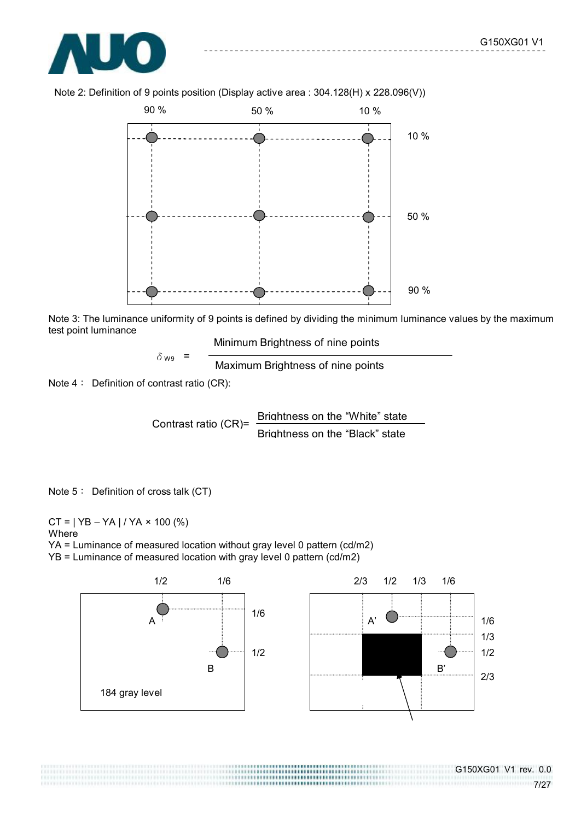



Note 2: Definition of 9 points position (Display active area : 304.128(H) x 228.096(V))

Note 3: The luminance uniformity of 9 points is defined by dividing the minimum luminance values by the maximum test point luminance

Minimum Brightness of nine points

 $\delta_{\text{W9}}$  =  $\frac{1}{2}$  Maximum Brightness of nine points

Note 4: Definition of contrast ratio (CR):

Contrast ratio (CR)= Brightness on the "White" state Brightness on the "Black" state

Note 5: Definition of cross talk (CT)

 $CT = | YB - YA | / YA \times 100 (%)$ Where YA = Luminance of measured location without gray level 0 pattern (cd/m2) YB = Luminance of measured location with gray level 0 pattern (cd/m2)



,,,,,,,,,,,,,,,,,,,,,,,,,,,,,,,,,

G150XG01 V1 rev. 0.0 \*\*\*\*\*\*\*\*\*\*\*\*\*\*\*\*\*\*\*\*\*\*\*\*\*\*\*\*\*\*\*\*\*\*\*\*7/27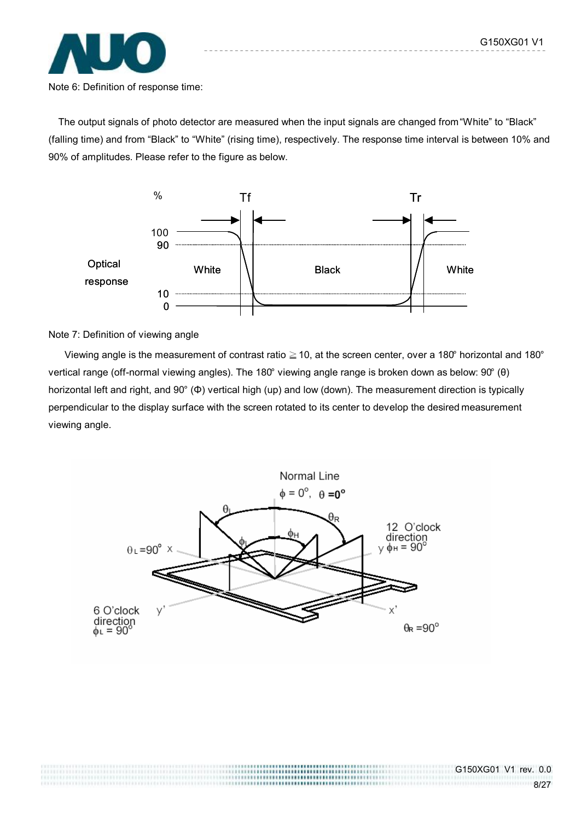

Note 6: Definition of response time:

The output signals of photo detector are measured when the input signals are changed from "White" to "Black" (falling time) and from "Black" to "White" (rising time), respectively. The response time interval is between 10% and 90% of amplitudes. Please refer to the figure as below.



Note 7: Definition of viewing angle

Viewing angle is the measurement of contrast ratio  $\geq$  10, at the screen center, over a 180° horizontal and 180° vertical range (off-normal viewing angles). The 180° viewing angle range is broken down as below: 90° (θ) horizontal left and right, and 90° (Φ) vertical high (up) and low (down). The measurement direction is typically perpendicular to the display surface with the screen rotated to its center to develop the desired measurement viewing angle.



..........................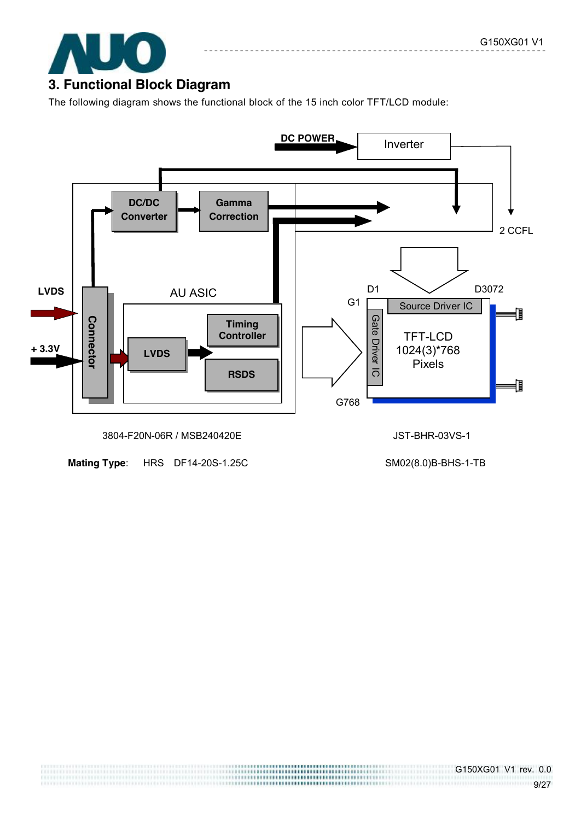

The following diagram shows the functional block of the 15 inch color TFT/LCD module:



**Mating Type**: HRS DF14-20S-1.25C SM02(8.0)B-BHS-1-TB

```
G150XG01 V1 rev. 0.0 
9/27
```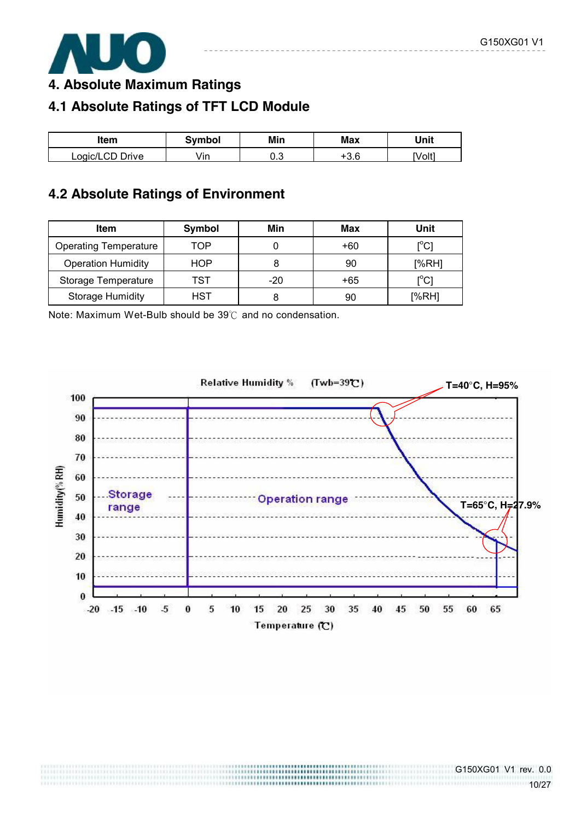

**4. Absolute Maximum Ratings** 

# **4.1 Absolute Ratings of TFT LCD Module**

| ltem            | Symbol | Min | Max          | Unit   |
|-----------------|--------|-----|--------------|--------|
| Logic/LCD Drive | /in    | ∪.∪ | ם מו<br>ن. ب | [Volt] |

## **4.2 Absolute Ratings of Environment**

| <b>Item</b>                  | Symbol | Min   | Max   | Unit                         |
|------------------------------|--------|-------|-------|------------------------------|
| <b>Operating Temperature</b> | TOP    |       | $+60$ | $\mathsf{I}^\circ\mathsf{C}$ |
| <b>Operation Humidity</b>    | HOP    |       | 90    | [%RH]                        |
| Storage Temperature          | TST    | $-20$ | +65   | $\mathsf{I}^\circ\mathsf{C}$ |
| <b>Storage Humidity</b>      | HST    |       | 90    | [%RH]                        |

Note: Maximum Wet-Bulb should be 39℃ and no condensation.

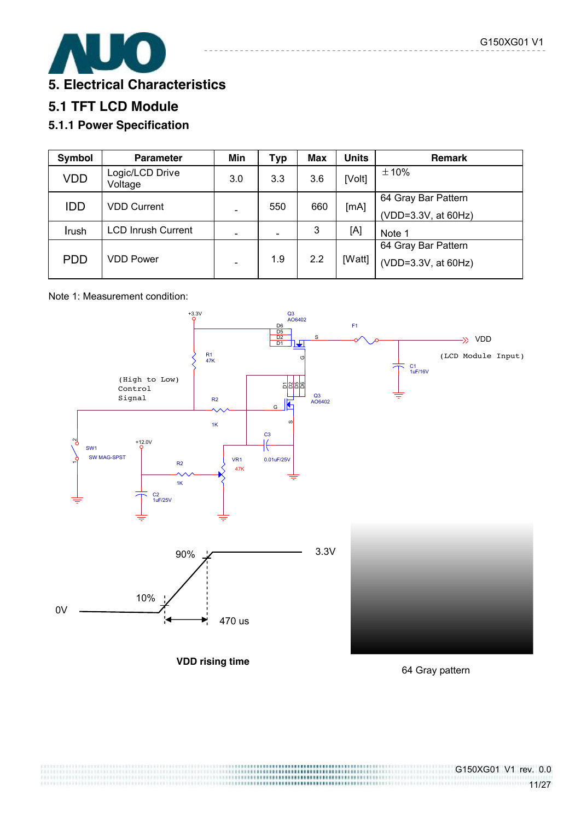

# **5.1 TFT LCD Module**

### **5.1.1 Power Specification**

| Symbol     | <b>Parameter</b>           | Min | <b>Typ</b> | Max | <b>Units</b> | <b>Remark</b>       |
|------------|----------------------------|-----|------------|-----|--------------|---------------------|
| <b>VDD</b> | Logic/LCD Drive<br>Voltage | 3.0 | 3.3        | 3.6 | [Volt]       | ±10%                |
| <b>IDD</b> | <b>VDD Current</b>         |     | 550        | 660 | [mA]         | 64 Gray Bar Pattern |
|            |                            |     |            |     |              | (VDD=3.3V, at 60Hz) |
| Irush      | <b>LCD Inrush Current</b>  |     |            | 3   | [A]          | Note 1              |
|            |                            |     |            |     |              | 64 Gray Bar Pattern |
| <b>PDD</b> | <b>VDD Power</b>           |     | 1.9        | 2.2 | [Watt]       | (VDD=3.3V, at 60Hz) |

### Note 1: Measurement condition:



64 Gray pattern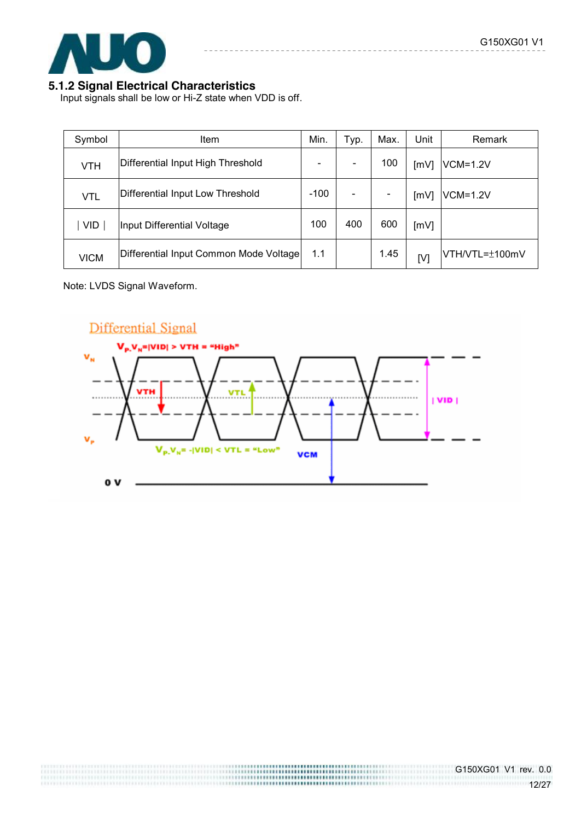

### **5.1.2 Signal Electrical Characteristics**

Input signals shall be low or Hi-Z state when VDD is off.

| Symbol      | <b>Item</b>                            | Min. | Typ. | Max. | Unit | Remark          |
|-------------|----------------------------------------|------|------|------|------|-----------------|
| <b>VTH</b>  | Differential Input High Threshold      |      |      | 100  | [mV] | VCM=1.2V        |
| VTL         | Differential Input Low Threshold       |      |      |      | [mV] | <b>VCM=1.2V</b> |
| <b>VID</b>  | Input Differential Voltage             |      | 400  | 600  | [mV] |                 |
| <b>VICM</b> | Differential Input Common Mode Voltage |      |      | 1.45 | [V]  | VTH/VTL=±100mV  |

Note: LVDS Signal Waveform.

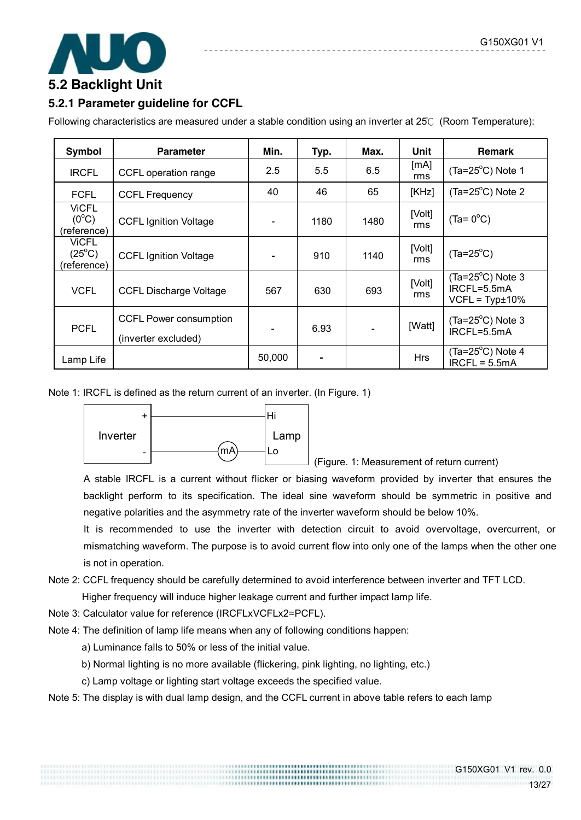

### **5.2.1 Parameter guideline for CCFL**

Following characteristics are measured under a stable condition using an inverter at 25℃ (Room Temperature):

| Symbol                                         | <b>Parameter</b>                                     | Min.   | Typ. | Max.           | Unit          | <b>Remark</b>                                                |
|------------------------------------------------|------------------------------------------------------|--------|------|----------------|---------------|--------------------------------------------------------------|
| <b>IRCFL</b>                                   | CCFL operation range                                 | 2.5    | 5.5  | 6.5            | [mA]<br>rms   | $(Ta=25^{\circ}C)$ Note 1                                    |
| <b>FCFL</b>                                    | <b>CCFL Frequency</b>                                | 40     | 46   | 65             | [KHz]         | $(Ta=25^{\circ}C)$ Note 2                                    |
| <b>VICFL</b><br>$(0^{\circ}C)$<br>(reference)  | <b>CCFL Ignition Voltage</b>                         |        | 1180 | 1480           | [Volt]<br>rms | $(Ta = 0^{\circ}C)$                                          |
| <b>ViCFL</b><br>$(25^{\circ}C)$<br>(reference) | <b>CCFL Ignition Voltage</b>                         |        | 910  | 1140           | [Volt]<br>rms | $(Ta=25^{\circ}C)$                                           |
| <b>VCFL</b>                                    | <b>CCFL Discharge Voltage</b>                        | 567    | 630  | 693            | [Volt]<br>rms | $(Ta=25^{\circ}C)$ Note 3<br>IRCFL=5.5mA<br>$VCFL = Typt10%$ |
| <b>PCFL</b>                                    | <b>CCFL Power consumption</b><br>(inverter excluded) |        | 6.93 | $\blacksquare$ | [Watt]        | $(Ta=25^{\circ}C)$ Note 3<br>IRCFL=5.5mA                     |
| Lamp Life                                      |                                                      | 50,000 |      |                | <b>Hrs</b>    | $(Ta=25^{\circ}C)$ Note 4<br>$IRCFL = 5.5mA$                 |

Note 1: IRCFL is defined as the return current of an inverter. (In Figure. 1)



(Figure. 1: Measurement of return current)

A stable IRCFL is a current without flicker or biasing waveform provided by inverter that ensures the backlight perform to its specification. The ideal sine waveform should be symmetric in positive and negative polarities and the asymmetry rate of the inverter waveform should be below 10%.

It is recommended to use the inverter with detection circuit to avoid overvoltage, overcurrent, or mismatching waveform. The purpose is to avoid current flow into only one of the lamps when the other one is not in operation.

Note 2: CCFL frequency should be carefully determined to avoid interference between inverter and TFT LCD.

Higher frequency will induce higher leakage current and further impact lamp life.

Note 3: Calculator value for reference (IRCFLxVCFLx2=PCFL).

Note 4: The definition of lamp life means when any of following conditions happen:

a) Luminance falls to 50% or less of the initial value.

- b) Normal lighting is no more available (flickering, pink lighting, no lighting, etc.)
- c) Lamp voltage or lighting start voltage exceeds the specified value.

Note 5: The display is with dual lamp design, and the CCFL current in above table refers to each lamp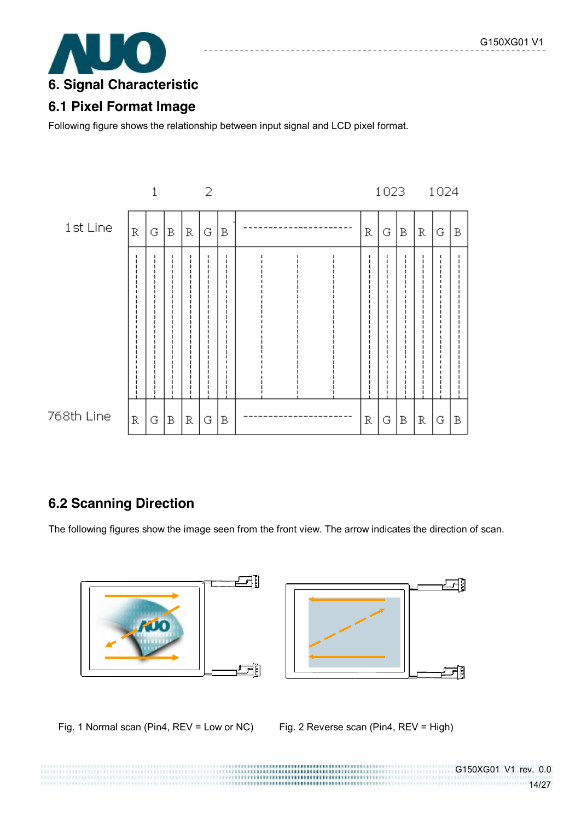

## **6.1 Pixel Format Image**

Following figure shows the relationship between input signal and LCD pixel format.



# **6.2 Scanning Direction**

The following figures show the image seen from the front view. The arrow indicates the direction of scan.



Fig. 1 Normal scan (Pin4, REV = Low or NC) Fig. 2 Reverse scan (Pin4, REV = High)

.................................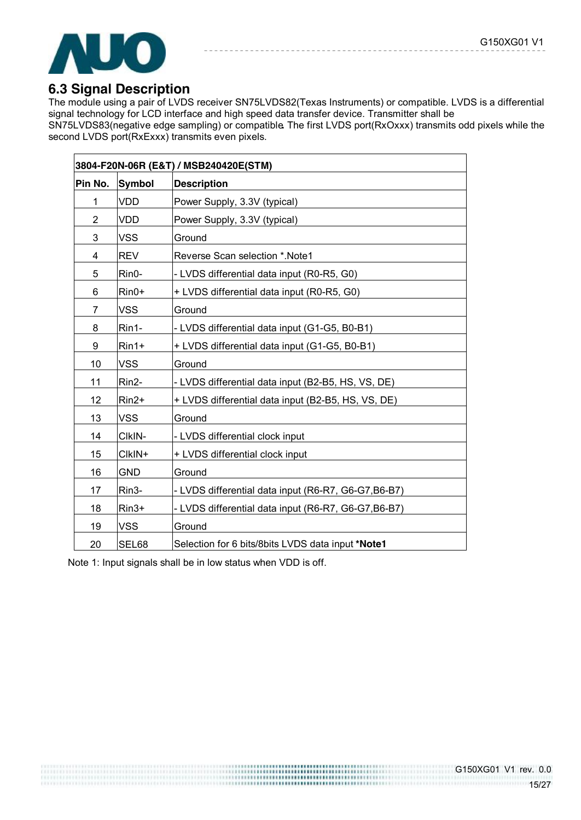

### **6.3 Signal Description**

The module using a pair of LVDS receiver SN75LVDS82(Texas Instruments) or compatible. LVDS is a differential signal technology for LCD interface and high speed data transfer device. Transmitter shall be SN75LVDS83(negative edge sampling) or compatible**.** The first LVDS port(RxOxxx) transmits odd pixels while the second LVDS port(RxExxx) transmits even pixels.

|                |                    | 3804-F20N-06R (E&T) / MSB240420E(STM)                |
|----------------|--------------------|------------------------------------------------------|
| Pin No.        | <b>Symbol</b>      | <b>Description</b>                                   |
| 1              | <b>VDD</b>         | Power Supply, 3.3V (typical)                         |
| $\overline{2}$ | <b>VDD</b>         | Power Supply, 3.3V (typical)                         |
| 3              | <b>VSS</b>         | Ground                                               |
| 4              | <b>REV</b>         | Reverse Scan selection *. Note1                      |
| 5              | Rin0-              | - LVDS differential data input (R0-R5, G0)           |
| 6              | Rin0+              | + LVDS differential data input (R0-R5, G0)           |
| $\overline{7}$ | <b>VSS</b>         | Ground                                               |
| 8              | Rin1-              | - LVDS differential data input (G1-G5, B0-B1)        |
| 9              | $Rin1+$            | + LVDS differential data input (G1-G5, B0-B1)        |
| 10             | <b>VSS</b>         | Ground                                               |
| 11             | Rin2-              | - LVDS differential data input (B2-B5, HS, VS, DE)   |
| 12             | Rin2+              | + LVDS differential data input (B2-B5, HS, VS, DE)   |
| 13             | <b>VSS</b>         | Ground                                               |
| 14             | CIKIN-             | - LVDS differential clock input                      |
| 15             | CIkIN+             | + LVDS differential clock input                      |
| 16             | <b>GND</b>         | Ground                                               |
| 17             | Rin <sub>3</sub> - | - LVDS differential data input (R6-R7, G6-G7, B6-B7) |
| 18             | Rin3+              | - LVDS differential data input (R6-R7, G6-G7, B6-B7) |
| 19             | <b>VSS</b>         | Ground                                               |
| 20             | SEL68              | Selection for 6 bits/8bits LVDS data input *Note1    |

Note 1: Input signals shall be in low status when VDD is off.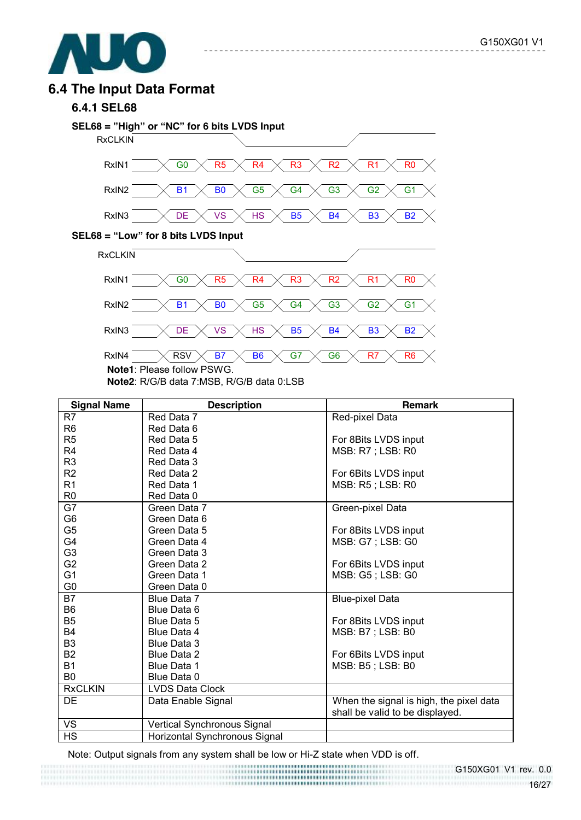

### **6.4 The Input Data Format**

#### **6.4.1 SEL68**



**Note1**: Please follow PSWG.

**Note2**: R/G/B data 7:MSB, R/G/B data 0:LSB

| <b>Signal Name</b> | <b>Description</b>            | Remark                                  |
|--------------------|-------------------------------|-----------------------------------------|
| R <sub>7</sub>     | Red Data 7                    | Red-pixel Data                          |
| R <sub>6</sub>     | Red Data 6                    |                                         |
| R <sub>5</sub>     | Red Data 5                    | For 8Bits LVDS input                    |
| R <sub>4</sub>     | Red Data 4                    | MSB: R7 ; LSB: R0                       |
| R <sub>3</sub>     | Red Data 3                    |                                         |
| R2                 | Red Data 2                    | For 6Bits LVDS input                    |
| R1                 | Red Data 1                    | MSB: R5; LSB: R0                        |
| R <sub>0</sub>     | Red Data 0                    |                                         |
| G7                 | Green Data 7                  | Green-pixel Data                        |
| G6                 | Green Data 6                  |                                         |
| G <sub>5</sub>     | Green Data 5                  | For 8Bits LVDS input                    |
| G4                 | Green Data 4                  | MSB: G7 ; LSB: G0                       |
| G <sub>3</sub>     | Green Data 3                  |                                         |
| G <sub>2</sub>     | Green Data 2                  | For 6Bits LVDS input                    |
| G <sub>1</sub>     | Green Data 1                  | MSB: G5; LSB: G0                        |
| G0                 | Green Data 0                  |                                         |
| B7                 | Blue Data 7                   | <b>Blue-pixel Data</b>                  |
| B <sub>6</sub>     | Blue Data 6                   |                                         |
| B <sub>5</sub>     | Blue Data 5                   | For 8Bits LVDS input                    |
| <b>B4</b>          | Blue Data 4                   | MSB: B7 ; LSB: B0                       |
| B <sub>3</sub>     | Blue Data 3                   |                                         |
| <b>B2</b>          | Blue Data 2                   | For 6Bits LVDS input                    |
| <b>B1</b>          | Blue Data 1                   | MSB: B5; LSB: B0                        |
| B <sub>0</sub>     | Blue Data 0                   |                                         |
| <b>RxCLKIN</b>     | <b>LVDS Data Clock</b>        |                                         |
| DE                 | Data Enable Signal            | When the signal is high, the pixel data |
|                    |                               | shall be valid to be displayed.         |
| VS                 | Vertical Synchronous Signal   |                                         |
| <b>HS</b>          | Horizontal Synchronous Signal |                                         |

RSV  $\times$  B7  $\times$  B6  $\times$  G7  $\times$  G6  $\times$  R7  $\times$  R6

Note: Output signals from any system shall be low or Hi-Z state when VDD is off.

G150XG01 V1 rev. 0.0 16/27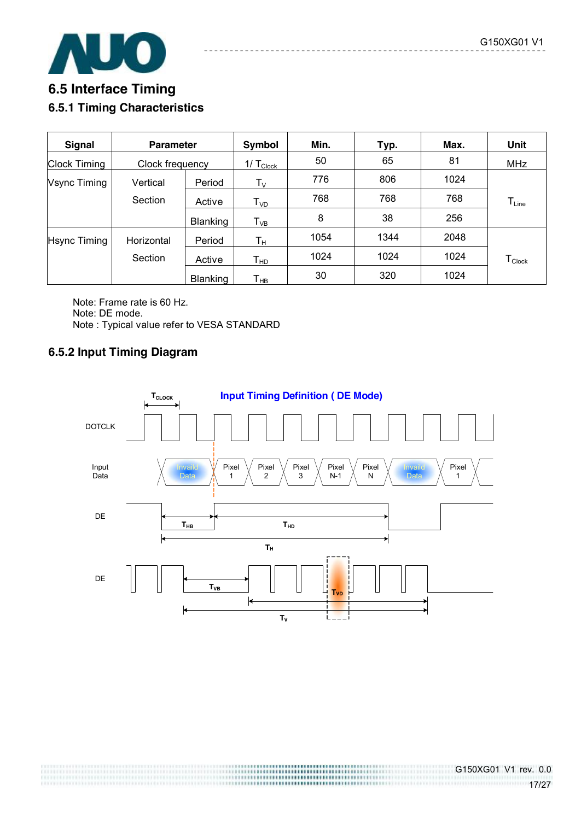

# **6.5 Interface Timing 6.5.1 Timing Characteristics**

| Signal              | <b>Parameter</b> |                 | Symbol                      | Min. | Typ. | Max. | Unit                           |
|---------------------|------------------|-----------------|-----------------------------|------|------|------|--------------------------------|
| <b>Clock Timing</b> | Clock frequency  |                 | $1/\text{T}_{\text{Clock}}$ | 50   | 65   | 81   | <b>MHz</b>                     |
| Vsync Timing        | Vertical         | Period          | $\mathsf{T}_\mathsf{V}$     | 776  | 806  | 1024 |                                |
|                     | Section          | Active          | $\mathsf{T}_{\mathsf{VD}}$  | 768  | 768  | 768  | $T_{Line}$                     |
|                     |                  | <b>Blanking</b> | $T_{VB}$                    | 8    | 38   | 256  |                                |
| <b>Hsync Timing</b> | Horizontal       | Period          | $\mathsf{T}_\mathsf{H}$     | 1054 | 1344 | 2048 |                                |
|                     | Section          | Active          | Т <sub>нр</sub>             | 1024 | 1024 | 1024 | ${\mathsf T}_{\mathsf{Clock}}$ |
|                     |                  | <b>Blanking</b> | $\mathsf{T}_{\mathsf{HB}}$  | 30   | 320  | 1024 |                                |

Note: Frame rate is 60 Hz. Note: DE mode. Note : Typical value refer to VESA STANDARD

### **6.5.2 Input Timing Diagram**

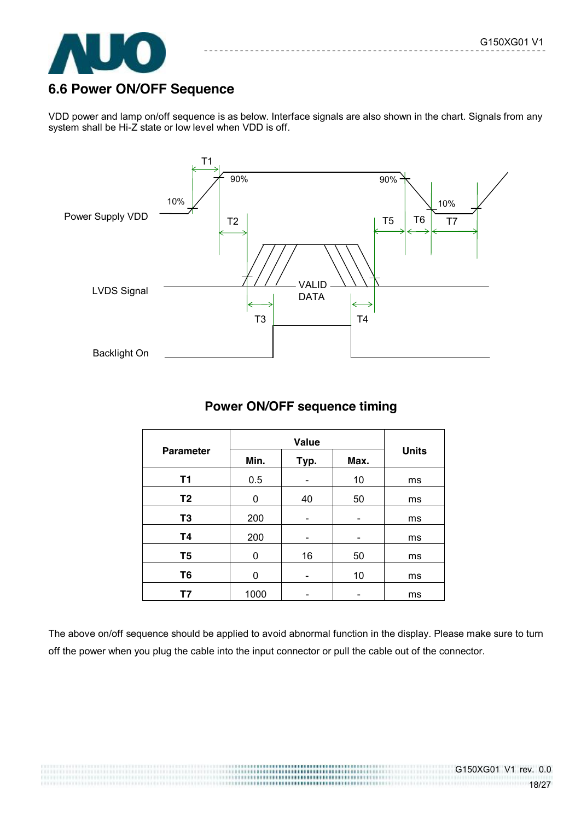

### **6.6 Power ON/OFF Sequence**

VDD power and lamp on/off sequence is as below. Interface signals are also shown in the chart. Signals from any system shall be Hi-Z state or low level when VDD is off.



### **Power ON/OFF sequence timing**

|                  | Value |      |      |              |
|------------------|-------|------|------|--------------|
| <b>Parameter</b> | Min.  | Typ. | Max. | <b>Units</b> |
| <b>T1</b>        | 0.5   |      | 10   | ms           |
| T <sub>2</sub>   | 0     | 40   | 50   | ms           |
| T <sub>3</sub>   | 200   |      |      | ms           |
| <b>T4</b>        | 200   |      |      | ms           |
| T <sub>5</sub>   | 0     | 16   | 50   | ms           |
| T <sub>6</sub>   | 0     |      | 10   | ms           |
| Τ7               | 1000  |      |      | ms           |

The above on/off sequence should be applied to avoid abnormal function in the display. Please make sure to turn off the power when you plug the cable into the input connector or pull the cable out of the connector.

> ,,,,,,,,,,,,,,,,,,,,,,,,,,,,,,,,,,,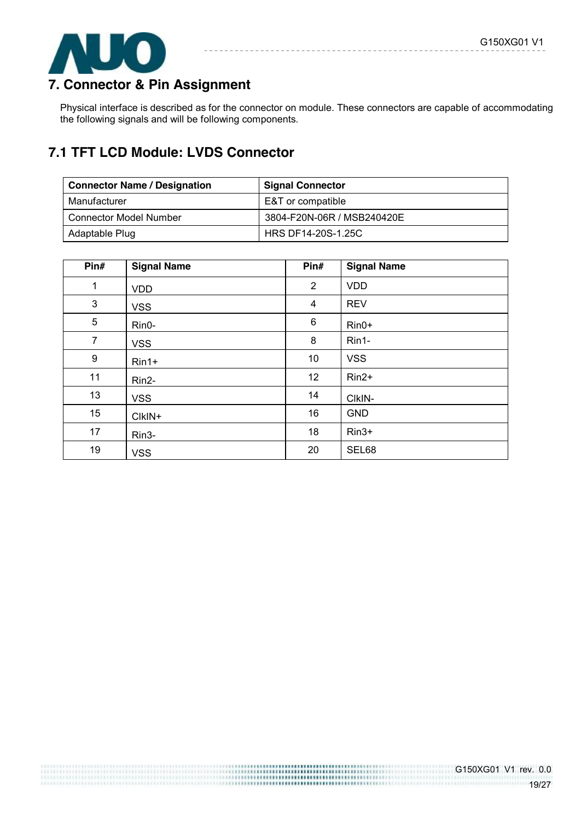

# **7. Connector & Pin Assignment**

Physical interface is described as for the connector on module. These connectors are capable of accommodating the following signals and will be following components.

# **7.1 TFT LCD Module: LVDS Connector**

| <b>Connector Name / Designation</b> | <b>Signal Connector</b>    |
|-------------------------------------|----------------------------|
| Manufacturer                        | E&T or compatible          |
| <b>Connector Model Number</b>       | 3804-F20N-06R / MSB240420E |
| Adaptable Plug                      | HRS DF14-20S-1.25C         |

| Pin#           | <b>Signal Name</b> | Pin#    | <b>Signal Name</b> |
|----------------|--------------------|---------|--------------------|
| $\mathbf{1}$   | <b>VDD</b>         | 2       | <b>VDD</b>         |
| $\mathfrak{B}$ | <b>VSS</b>         | 4       | <b>REV</b>         |
| 5              | Rin0-              | $\,6\,$ | $Rin0+$            |
| $\overline{7}$ | <b>VSS</b>         | 8       | Rin1-              |
| 9              | $Rin1+$            | 10      | <b>VSS</b>         |
| 11             | Rin2-              | 12      | Rin2+              |
| 13             | <b>VSS</b>         | 14      | CIkIN-             |
| 15             | CIkIN+             | 16      | <b>GND</b>         |
| 17             | Rin <sub>3</sub> - | 18      | $Rin3+$            |
| 19             | <b>VSS</b>         | 20      | SEL68              |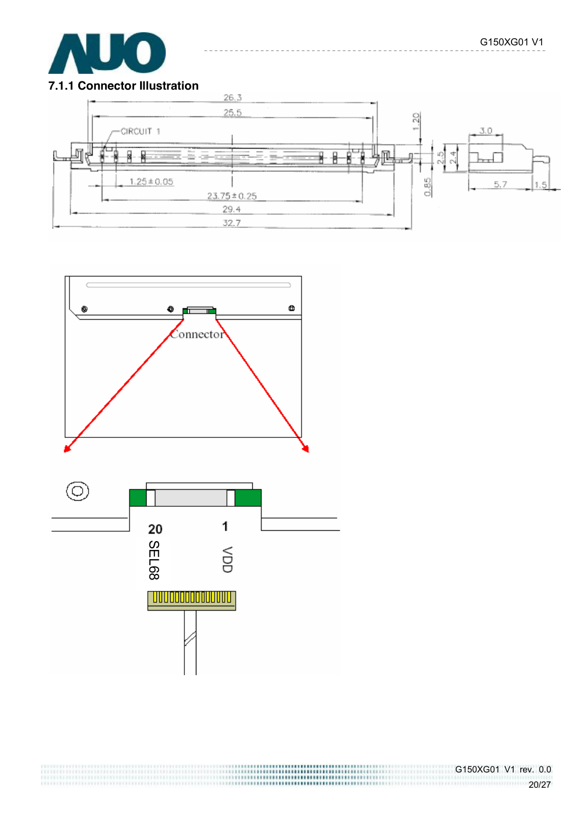

### **7.1.1 Connector Illustration**



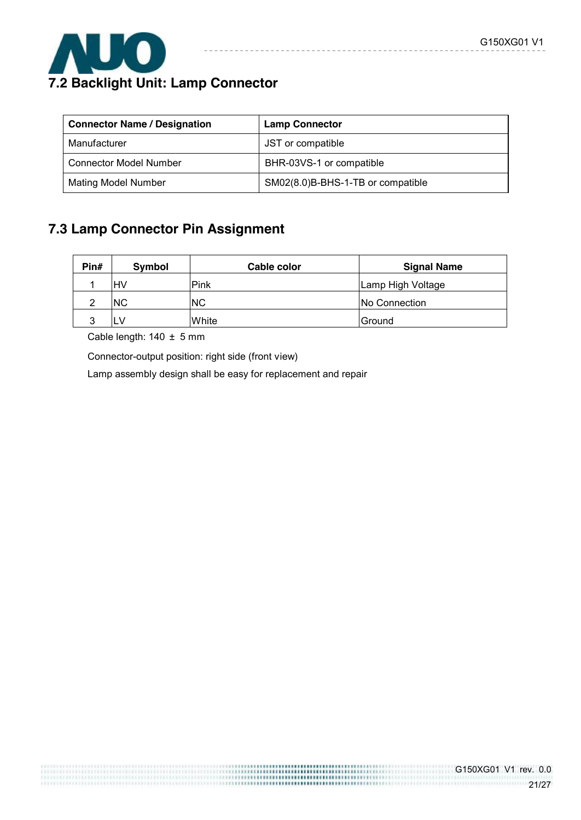

# **7.2 Backlight Unit: Lamp Connector**

| <b>Connector Name / Designation</b> | <b>Lamp Connector</b>             |
|-------------------------------------|-----------------------------------|
| Manufacturer                        | JST or compatible                 |
| <b>Connector Model Number</b>       | BHR-03VS-1 or compatible          |
| <b>Mating Model Number</b>          | SM02(8.0)B-BHS-1-TB or compatible |

 $- - - - -$ 

# **7.3 Lamp Connector Pin Assignment**

| Pin# | Symbol | Cable color | <b>Signal Name</b> |
|------|--------|-------------|--------------------|
|      | HV     | Pink        | Lamp High Voltage  |
|      | ΝC     | <b>INC</b>  | No Connection      |
|      |        | White       | Ground             |

 $\begin{minipage}{.4\linewidth} \begin{tabular}{l} \hline \multicolumn{3}{c} {\textbf{1}} & \multicolumn{3}{c} {\textbf{2}} & \multicolumn{3}{c} {\textbf{3}} & \multicolumn{3}{c} {\textbf{4}} & \multicolumn{3}{c} {\textbf{5}} & \multicolumn{3}{c} {\textbf{6}} & \multicolumn{3}{c} {\textbf{7}} & \multicolumn{3}{c} {\textbf{8}} & \multicolumn{3}{c} {\textbf{9}} & \multicolumn{3}{c} {\textbf{1}} & \multicolumn{3}{c} {\textbf{1}} & \multicolumn{3}{c} {\textbf{1}} & \multicolumn{$ 

Cable length: 140 ± 5 mm

Connector-output position: right side (front view)

Lamp assembly design shall be easy for replacement and repair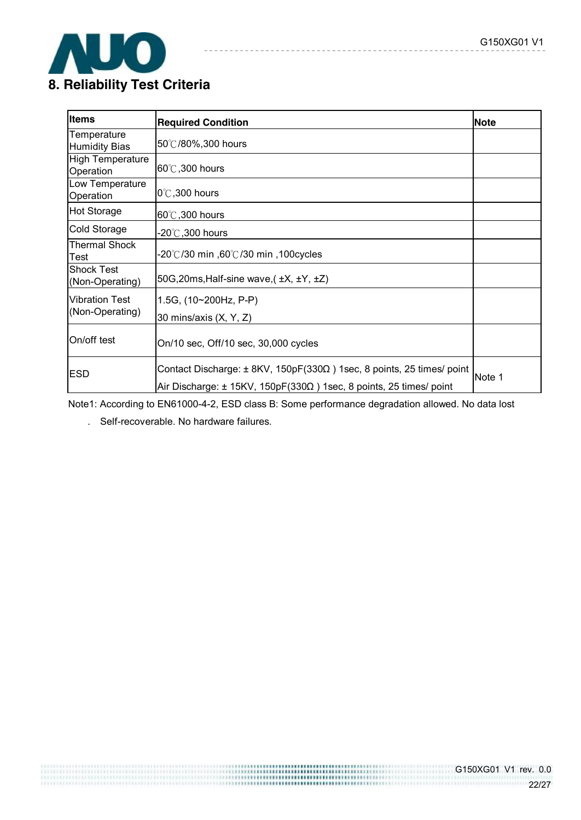

# **8. Reliability Test Criteria**

| <b>Items</b>                             | <b>Required Condition</b>                                                                                                                                | <b>Note</b> |
|------------------------------------------|----------------------------------------------------------------------------------------------------------------------------------------------------------|-------------|
| Temperature<br><b>Humidity Bias</b>      | 50℃/80%,300 hours                                                                                                                                        |             |
| <b>High Temperature</b><br>Operation     | $60^{\circ}$ C, 300 hours                                                                                                                                |             |
| Low Temperature<br>Operation             | $0^\circ\text{C}$ ,300 hours                                                                                                                             |             |
| <b>Hot Storage</b>                       | $60^{\circ}$ C, 300 hours                                                                                                                                |             |
| Cold Storage                             | -20 $^\circ\!{\rm C}$ ,300 hours                                                                                                                         |             |
| <b>Thermal Shock</b><br>Test             | -20℃/30 min ,60℃/30 min ,100cycles                                                                                                                       |             |
| <b>Shock Test</b><br>(Non-Operating)     | 50G, 20ms, Half-sine wave, $(\pm X, \pm Y, \pm Z)$                                                                                                       |             |
| <b>Vibration Test</b><br>(Non-Operating) | 1.5G, $(10~200Hz, P-P)$<br>30 mins/axis (X, Y, Z)                                                                                                        |             |
| On/off test                              | On/10 sec, Off/10 sec, 30,000 cycles                                                                                                                     |             |
| <b>ESD</b>                               | Contact Discharge: ± 8KV, 150pF(330Ω) 1sec, 8 points, 25 times/ point<br>Air Discharge: $\pm$ 15KV, 150pF(330 $\Omega$ ) 1sec, 8 points, 25 times/ point | Note 1      |

----------

Note1: According to EN61000-4-2, ESD class B: Some performance degradation allowed. No data lost

. Self-recoverable. No hardware failures.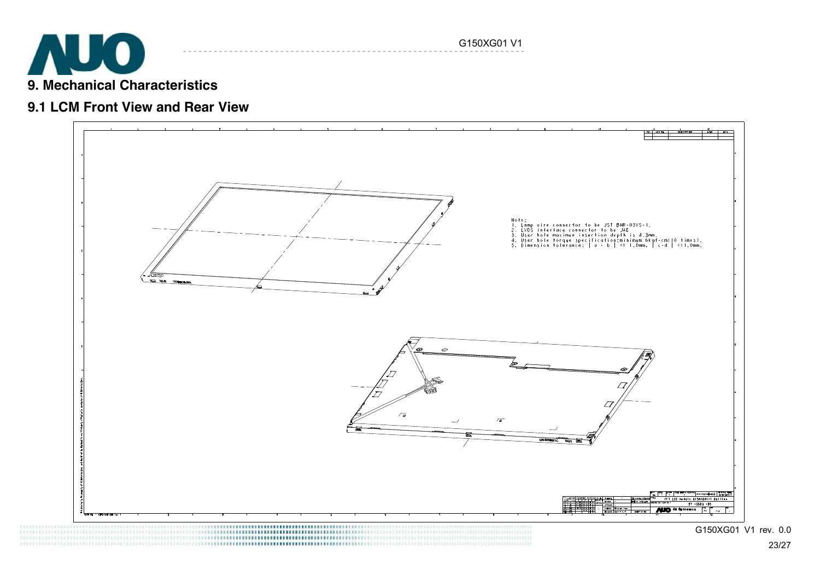

### **9.1 LCM Front View and Rear View**



G150XG01 V1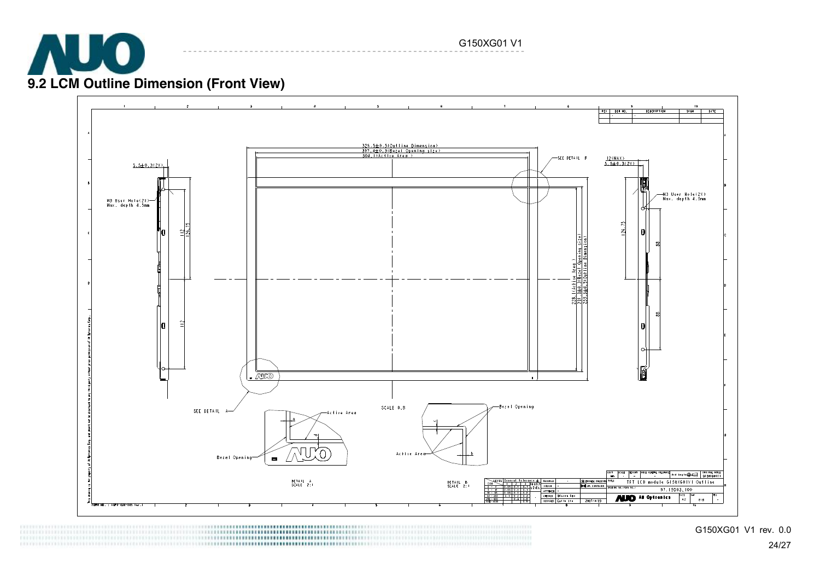

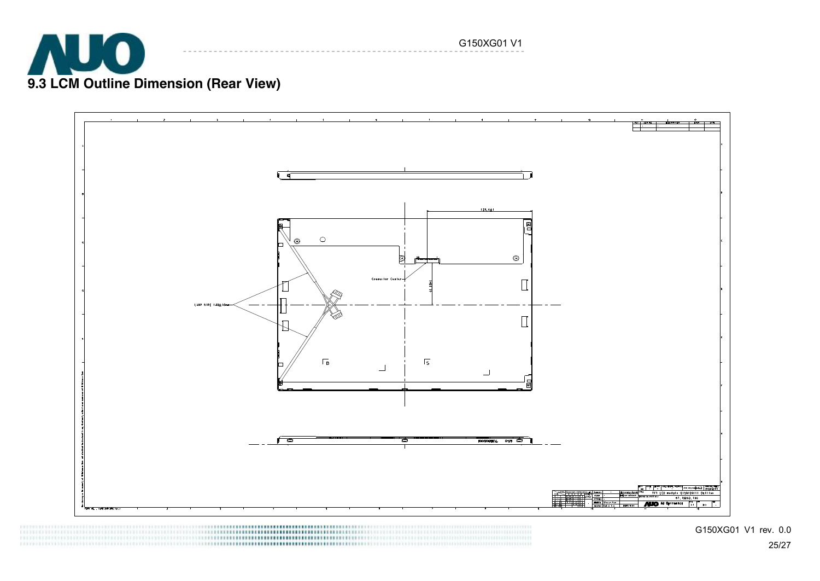



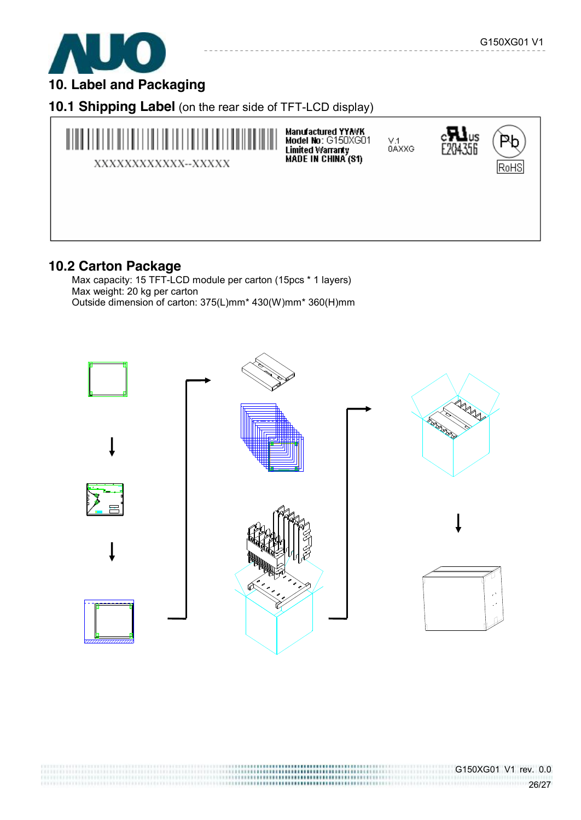

**10. Label and Packaging** 

**10.1 Shipping Label** (on the rear side of TFT-LCD display)



### **10.2 Carton Package**

Max capacity: 15 TFT-LCD module per carton (15pcs \* 1 layers) Max weight: 20 kg per carton Outside dimension of carton: 375(L)mm\* 430(W)mm\* 360(H)mm